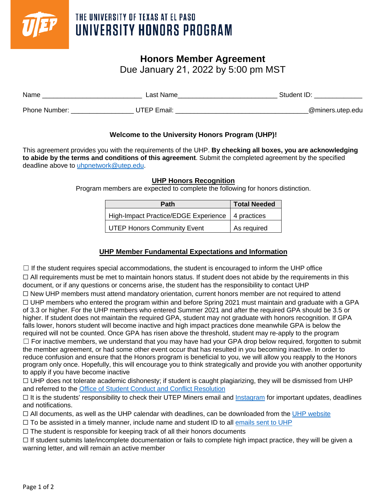

## THE UNIVERSITY OF TEXAS AT EL PASO UNIVERSITY HONORS PROGRAM

## **Honors Member Agreement**

Due January 21, 2022 by 5:00 pm MST

| Name          | ∟ast Name   | Student ID:       |
|---------------|-------------|-------------------|
| Phone Number: | JTEP Email: | _@miners.utep.edu |

### **Welcome to the University Honors Program (UHP)!**

This agreement provides you with the requirements of the UHP. **By checking all boxes, you are acknowledging to abide by the terms and conditions of this agreement**. Submit the completed agreement by the specified deadline above to [uhpnetwork@utep.edu.](mailto:uhpnetwork@utep.edu)

#### **UHP Honors Recognition**

Program members are expected to complete the following for honors distinction.

| <b>Path</b>                                        | <b>Total Needed</b> |
|----------------------------------------------------|---------------------|
| High-Impact Practice/EDGE Experience   4 practices |                     |
| <b>UTEP Honors Community Event</b>                 | As required         |

## **UHP Member Fundamental Expectations and Information**

 $\Box$  If the student requires special accommodations, the student is encouraged to inform the UHP office

☐ All requirements must be met to maintain honors status. If student does not abide by the requirements in this document, or if any questions or concerns arise, the student has the responsibility to contact UHP ☐ New UHP members must attend mandatory orientation, current honors member are not required to attend  $\Box$  UHP members who entered the program within and before Spring 2021 must maintain and graduate with a GPA of 3.3 or higher. For the UHP members who entered Summer 2021 and after the required GPA should be 3.5 or higher. If student does not maintain the required GPA, student may not graduate with honors recognition. If GPA falls lower, honors student will become inactive and high impact practices done meanwhile GPA is below the required will not be counted. Once GPA has risen above the threshold, student may re-apply to the program □ For inactive members, we understand that you may have had your GPA drop below required, forgotten to submit the member agreement, or had some other event occur that has resulted in you becoming inactive. In order to reduce confusion and ensure that the Honors program is beneficial to you, we will allow you reapply to the Honors program only once. Hopefully, this will encourage you to think strategically and provide you with another opportunity to apply if you have become inactive

 $\Box$  UHP does not tolerate academic dishonesty; if student is caught plagiarizing, they will be dismissed from UHP and referred to the [Office of Student Conduct and Conflict Resolution](https://www.utep.edu/student-affairs/osccr/)

 $\Box$  It is the students' responsibility to check their UTEP Miners email and [Instagram](https://www.instagram.com/utep_honorsprogram/) for important updates, deadlines and notifications.

 $\Box$  All documents, as well as the UHP calendar with deadlines, can be downloaded from the [UHP website](https://www.utep.edu/honors/)

 $\Box$  To be assisted in a timely manner, include name and student ID to all [emails sent to UHP](mailto:uhpnetwork@utep.edu)

 $\Box$  The student is responsible for keeping track of all their honors documents

 $\Box$  If student submits late/incomplete documentation or fails to complete high impact practice, they will be given a warning letter, and will remain an active member